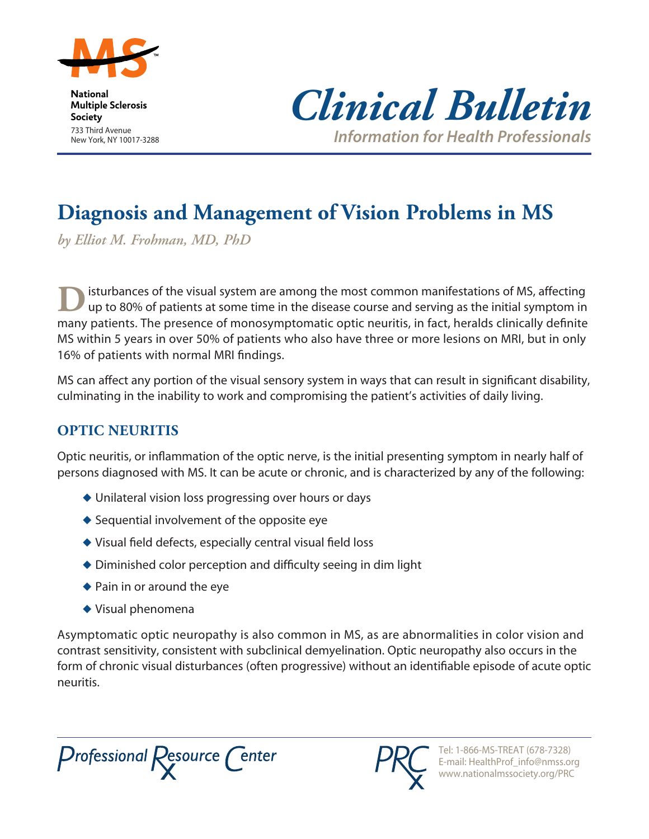

**National Multiple Sclerosis Society** 733 Third Avenue New York, NY 10017-3288



*Information for Health Professionals*

# **Diagnosis and Management of Vision Problems in MS**

*by Elliot M. Frohman, MD, PhD*

isturbances of the visual system are among the most common manifestations of MS, affecting up to 80% of patients at some time in the disease course and serving as the initial symptom in many patients. The presence of monosymptomatic optic neuritis, in fact, heralds clinically definite MS within 5 years in over 50% of patients who also have three or more lesions on MRI, but in only 16% of patients with normal MRI findings.

MS can affect any portion of the visual sensory system in ways that can result in significant disability, culminating in the inability to work and compromising the patient's activities of daily living.

## **Optic Neuritis**

Optic neuritis, or inflammation of the optic nerve, is the initial presenting symptom in nearly half of persons diagnosed with MS. It can be acute or chronic, and is characterized by any of the following:

- $\blacklozenge$  Unilateral vision loss progressing over hours or days
- $\triangle$  Sequential involvement of the opposite eye
- $\blacklozenge$  Visual field defects, especially central visual field loss
- $\blacklozenge$  Diminished color perception and difficulty seeing in dim light
- $\blacklozenge$  Pain in or around the eye
- $\blacklozenge$  Visual phenomena

Asymptomatic optic neuropathy is also common in MS, as are abnormalities in color vision and contrast sensitivity, consistent with subclinical demyelination. Optic neuropathy also occurs in the form of chronic visual disturbances (often progressive) without an identifiable episode of acute optic neuritis.

Professional Resource Center

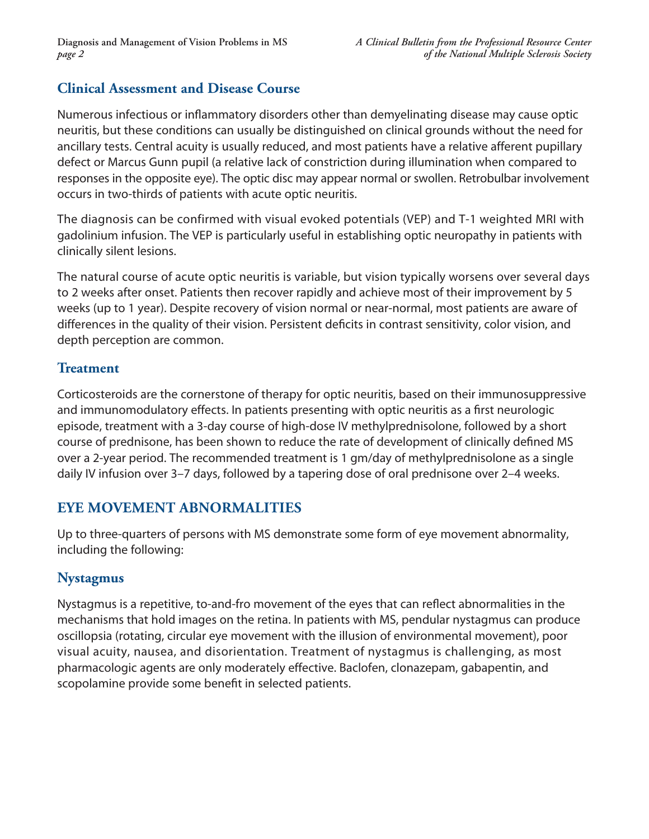## **Clinical Assessment and Disease Course**

Numerous infectious or inflammatory disorders other than demyelinating disease may cause optic neuritis, but these conditions can usually be distinguished on clinical grounds without the need for ancillary tests. Central acuity is usually reduced, and most patients have a relative afferent pupillary defect or Marcus Gunn pupil (a relative lack of constriction during illumination when compared to responses in the opposite eye). The optic disc may appear normal or swollen. Retrobulbar involvement occurs in two-thirds of patients with acute optic neuritis.

The diagnosis can be confirmed with visual evoked potentials (VEP) and T-1 weighted MRI with gadolinium infusion. The VEP is particularly useful in establishing optic neuropathy in patients with clinically silent lesions.

The natural course of acute optic neuritis is variable, but vision typically worsens over several days to 2 weeks after onset. Patients then recover rapidly and achieve most of their improvement by 5 weeks (up to 1 year). Despite recovery of vision normal or near-normal, most patients are aware of differences in the quality of their vision. Persistent deficits in contrast sensitivity, color vision, and depth perception are common.

#### **Treatment**

Corticosteroids are the cornerstone of therapy for optic neuritis, based on their immunosuppressive and immunomodulatory effects. In patients presenting with optic neuritis as a first neurologic episode, treatment with a 3-day course of high-dose IV methylprednisolone, followed by a short course of prednisone, has been shown to reduce the rate of development of clinically defined MS over a 2-year period. The recommended treatment is 1 gm/day of methylprednisolone as a single daily IV infusion over 3–7 days, followed by a tapering dose of oral prednisone over 2–4 weeks.

## **Eye Movement Abnormalities**

Up to three-quarters of persons with MS demonstrate some form of eye movement abnormality, including the following:

## **Nystagmus**

Nystagmus is a repetitive, to-and-fro movement of the eyes that can reflect abnormalities in the mechanisms that hold images on the retina. In patients with MS, pendular nystagmus can produce oscillopsia (rotating, circular eye movement with the illusion of environmental movement), poor visual acuity, nausea, and disorientation. Treatment of nystagmus is challenging, as most pharmacologic agents are only moderately effective. Baclofen, clonazepam, gabapentin, and scopolamine provide some benefit in selected patients.